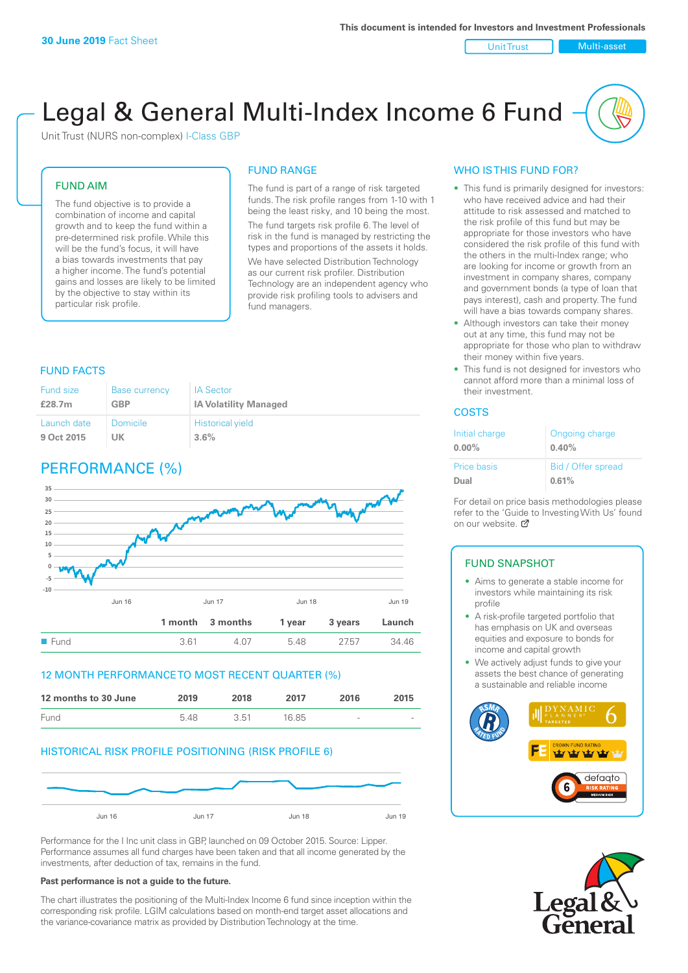#### Unit Trust Nulti-asset

# Legal & General Multi-Index Income 6 Fund

Unit Trust (NURS non-complex) I-Class GBP

### FUND AIM

The fund objective is to provide a combination of income and capital growth and to keep the fund within a pre-determined risk profile. While this will be the fund's focus, it will have a bias towards investments that pay a higher income. The fund's potential gains and losses are likely to be limited by the objective to stay within its particular risk profile.

### FUND RANGE

The fund is part of a range of risk targeted funds. The risk profile ranges from 1-10 with 1 being the least risky, and 10 being the most. The fund targets risk profile 6. The level of risk in the fund is managed by restricting the types and proportions of the assets it holds. We have selected Distribution Technology as our current risk profiler. Distribution Technology are an independent agency who provide risk profiling tools to advisers and fund managers.

#### FUND FACTS

| <b>Fund size</b> | <b>Base currency</b> | <b>IA Sector</b>             |
|------------------|----------------------|------------------------------|
| £28.7m           | <b>GBP</b>           | <b>IA Volatility Managed</b> |
| Launch date      | Domicile             | <b>Historical yield</b>      |
| 9 Oct 2015       | UΚ                   | 3.6%                         |

### PERFORMANCE (%)



### 12 MONTH PERFORMANCE TO MOST RECENT QUARTER (%)



### HISTORICAL RISK PROFILE POSITIONING (RISK PROFILE 6)



Performance for the I Inc unit class in GBP, launched on 09 October 2015. Source: Lipper. Performance assumes all fund charges have been taken and that all income generated by the investments, after deduction of tax, remains in the fund.

#### **Past performance is not a guide to the future.**

The chart illustrates the positioning of the Multi-Index Income 6 fund since inception within the corresponding risk profile. LGIM calculations based on month-end target asset allocations and the variance-covariance matrix as provided by Distribution Technology at the time.

### WHO IS THIS FUND FOR?

- This fund is primarily designed for investors: who have received advice and had their attitude to risk assessed and matched to the risk profile of this fund but may be appropriate for those investors who have considered the risk profile of this fund with the others in the multi-Index range; who are looking for income or growth from an investment in company shares, company and government bonds (a type of loan that pays interest), cash and property. The fund will have a bias towards company shares.
- Although investors can take their money out at any time, this fund may not be appropriate for those who plan to withdraw their money within five years.
- This fund is not designed for investors who cannot afford more than a minimal loss of their investment.

### **COSTS**

| Initial charge<br>$0.00\%$ | Ongoing charge<br>0.40% |
|----------------------------|-------------------------|
| <b>Price basis</b>         | Bid / Offer spread      |
| Dual                       | 0.61%                   |

For detail on price basis methodologies please refer to the 'Guide to Investing With Us' found on our website. [7]

### FUND SNAPSHOT

- Aims to generate a stable income for investors while maintaining its risk profile
- A risk-profile targeted portfolio that has emphasis on UK and overseas equities and exposure to bonds for income and capital growth
- We actively adjust funds to give your assets the best chance of generating a sustainable and reliable income



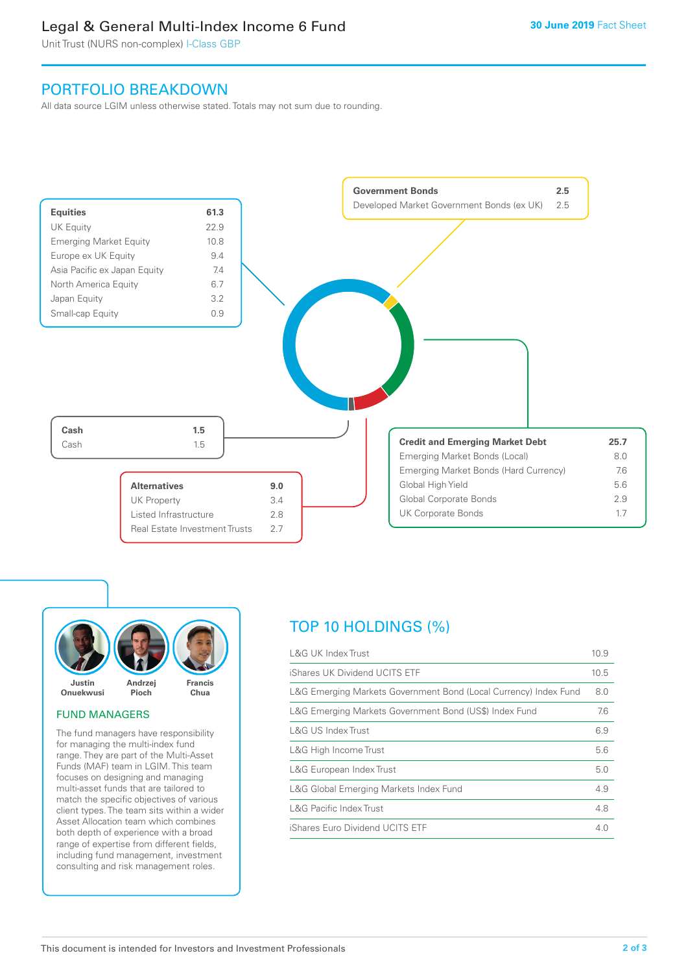### Legal & General Multi-Index Income 6 Fund

Unit Trust (NURS non-complex) I-Class GBP

### PORTFOLIO BREAKDOWN

All data source LGIM unless otherwise stated. Totals may not sum due to rounding.





### FUND MANAGERS

The fund managers have responsibility for managing the multi-index fund range. They are part of the Multi-Asset Funds (MAF) team in LGIM. This team focuses on designing and managing multi-asset funds that are tailored to match the specific objectives of various client types. The team sits within a wider Asset Allocation team which combines both depth of experience with a broad range of expertise from different fields, including fund management, investment consulting and risk management roles.

## TOP 10 HOLDINGS (%)

| <b>L&amp;G UK Index Trust</b>                                    | 10.9 |
|------------------------------------------------------------------|------|
| iShares UK Dividend UCITS ETF                                    | 10.5 |
| L&G Emerging Markets Government Bond (Local Currency) Index Fund | 8.0  |
| L&G Emerging Markets Government Bond (US\$) Index Fund           | 7.6  |
| L&G US Index Trust                                               | 6.9  |
| L&G High Income Trust                                            | 5.6  |
| L&G European Index Trust                                         | 5.0  |
| L&G Global Emerging Markets Index Fund                           | 4.9  |
| <b>L&amp;G Pacific Index Trust</b>                               | 4.8  |
| iShares Euro Dividend UCITS ETF                                  | 4.0  |